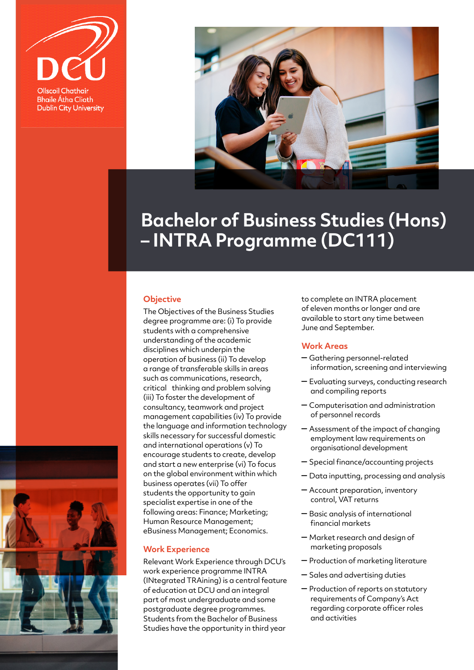



## **Bachelor of Business Studies (Hons) – INTRA Programme (DC111)**

## **Objective**

The Objectives of the Business Studies degree programme are: (i) To provide students with a comprehensive understanding of the academic disciplines which underpin the operation of business (ii) To develop a range of transferable skills in areas such as communications, research, critical thinking and problem solving (iii) To foster the development of consultancy, teamwork and project management capabilities (iv) To provide the language and information technology skills necessary for successful domestic and international operations (v) To encourage students to create, develop and start a new enterprise (vi) To focus on the global environment within which business operates (vii) To offer students the opportunity to gain specialist expertise in one of the following areas: Finance; Marketing; Human Resource Management; eBusiness Management; Economics.

## **Work Experience**

Relevant Work Experience through DCU's work experience programme INTRA (INtegrated TRAining) is a central feature of education at DCU and an integral part of most undergraduate and some postgraduate degree programmes. Students from the Bachelor of Business Studies have the opportunity in third year

to complete an INTRA placement of eleven months or longer and are available to start any time between June and September.

## **Work Areas**

- Gathering personnel-related information, screening and interviewing
- Evaluating surveys, conducting research and compiling reports
- Computerisation and administration of personnel records
- Assessment of the impact of changing employment law requirements on organisational development
- Special finance/accounting projects
- Data inputting, processing and analysis
- Account preparation, inventory control, VAT returns
- Basic analysis of international financial markets
- Market research and design of marketing proposals
- Production of marketing literature
- Sales and advertising duties
- Production of reports on statutory requirements of Company's Act regarding corporate officer roles and activities